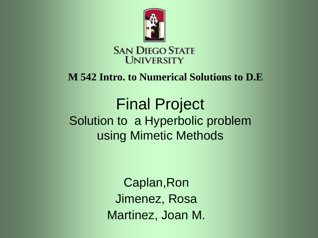

### **M 542 Intro. to Numerical Solutions to D.E**

### Final Project Solution to a Hyperbolic problem using Mimetic Methods

Caplan,Ron Jimenez, Rosa Martinez, Joan M.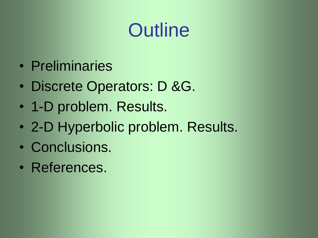# **Outline**

- Preliminaries
- Discrete Operators: D &G.
- 1-D problem. Results.
- 2-D Hyperbolic problem. Results.
- Conclusions.
- References.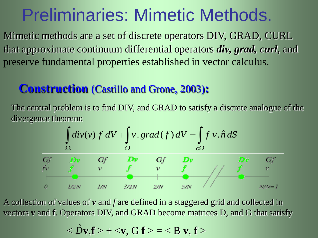### Preliminaries: Mimetic Methods.

Mimetic methods are a set of discrete operators DIV, GRAD, CURL that approximate continuum differential operators *div, grad, curl*, and preserve fundamental properties established in vector calculus.

### **Construction** (Castillo and Grone, 2003)**:**

The central problem is to find DIV, and GRAD to satisfy a discrete analogue of the divergence theorem:



A collection of values of *v* and *f* are defined in a staggered grid and collected in vectors **v** and **f**. Operators DIV, and GRAD become matrices D, and G that satisfy

 $<\!\hat{D}$  **v**, **f**  $>$  +  $<$  **v**, **G f**  $>$  =  $<$  B **v**, **f**  $>$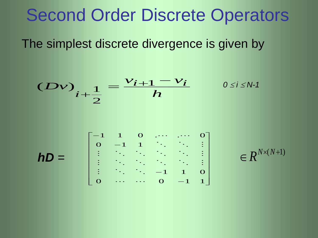### Second Order Discrete Operators

The simplest discrete divergence is given by

$$
(Dv)i+\frac{1}{2} = \frac{v_{i+1} - v_i}{h} \qquad 0 \le i \le N-1
$$

$$
hD = \begin{bmatrix} 0 & -1 & 1 & \cdots & \cdots & \vdots \\ \vdots & \ddots & \ddots & \ddots & \ddots & \vdots \\ \vdots & \ddots & \ddots & \ddots & -1 & 1 & 0 \\ 0 & \cdots & \cdots & 0 & -1 & 1 \end{bmatrix} \in R^{N \times (N+1)}
$$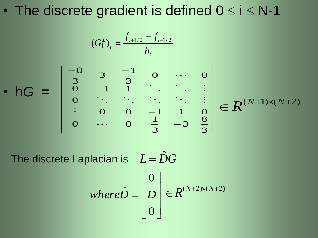• The discrete gradient is defined  $0 \le i \le N-1$ 

$$
(Gf)_i = \frac{f_{i+1/2} - f_{i-1/2}}{h}
$$

• h*G* =  $\mathbb{I}$  $\mathbb{I}$  $\mathbb{I}$  $\mathbb{I}$  $\mathbb{I}$  $\mathbb{I}$  $\mathcal{L}$  $\Box$  $\overline{\mathbb{1}}$ I ı ı ı ı ı  $\mathbb{R}$  $\overline{\phantom{a}}$  $\overline{\Gamma}$  $\overline{\phantom{0}}$  $\overline{\phantom{0}}$  $\overline{\phantom{0}}$  $-8$   $2$   $-$ 3 8 3 3  $\overline{1}$ 0 ... 0  $0 \t 0 \t -1 \t 1 \t 0$  $\overline{O}$  $\begin{bmatrix} 3 & 1 \\ 0 & -1 \end{bmatrix}$ 0 ... 0 3 1 3 3 8 ...  $\ddot{\cdot}$  ...  $\in R^{(N+1)\times(N+2)}$ 

The discrete Laplacian is  $L = \hat{D}G$   $\rfloor$  $\overline{\phantom{a}}$  $\vert$  $\overline{\phantom{a}}$  $\vert$  $\lfloor$  $\lceil$  $=$ 0 0  $where \hat{D} = |D| \in R^{(N+2)\times(N+2)}$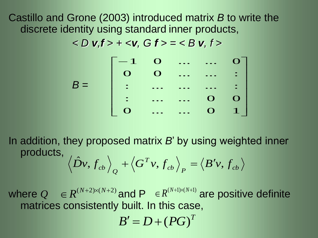Castillo and Grone (2003) introduced matrix *B* to write the discrete identity using standard inner products,

*< D v,f > + <v, G f > = < B v, f >*

 $B =$ I ı ı ı ı  $\overline{\phantom{a}}$  $\overline{\phantom{a}}$  $\overline{\mathbb{1}}$ I I I I I I  $\overline{\phantom{a}}$  $\overline{a}$ 0 ... ... 0 1 : ... ... 0 0<br>: ... ... 0 0 : ... ... ... ...<br>: ... ... ... . 0 0 ... ... : 1 0 ... ... 0

In addition, they proposed matrix *B*' by using weighted inner products,  $\left\langle \frac{ab}{p} \right\rangle$   $\left\langle \frac{b}{p} \right\rangle$   $\left\langle \frac{b}{p} \right\rangle$ *T Q*  $\left\langle \hat{Dv},\hat{f}_{cb}\right\rangle _{Q}+\left\langle \hat{G}^{T}v,\hat{f}_{cb}\right\rangle _{P}=\left\langle B'v,f\right\rangle _{Q}$ 

where  $Q \in \mathbb{R}^{(N+2)\times(N+2)}$  and  $P \in \mathbb{R}^{(N+1)\times(N+1)}$  are positive definite matrices consistently built. In this case,

 $B' = D + (PG)^{T}$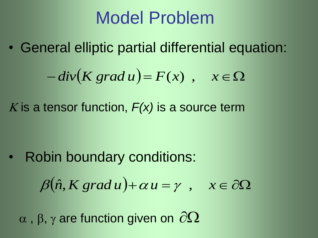## Model Problem

• General elliptic partial differential equation:

$$
-div(K grad u) = F(x) , x \in \Omega
$$

K is a tensor function,  $F(x)$  is a source term

• Robin boundary conditions:

$$
\beta(\hat{n}, K \, grad \, u) + \alpha \, u = \gamma \quad , \quad x \in \partial \Omega
$$

 $\alpha$ ,  $\beta$ ,  $\gamma$  are function given on  $\partial\Omega$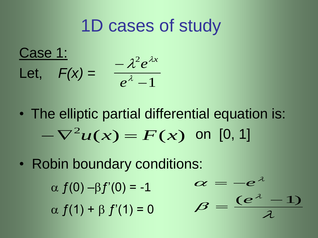### 1D cases of study

Case 1: Let, *F(x) =* 1 2  $\overline{\phantom{0}}$ ÷  $\lambda$  $\lambda^2 e^{\lambda z}$ *e*  $e^{\lambda x}$ 

• The elliptic partial differential equation is:  $-\nabla^2 u(x) = F(x)$  on [0, 1]

 $\bm{\beta}$ 

 $\overline{\phantom{0}}$ 

 $\alpha$ 

 $\lambda$ 

 $(e^{\lambda}-1)$ 

 $\mathcal{A}^-$ 

*e*

*e*

 $\mathcal{A}$ 

• Robin boundary conditions:

 $\alpha f(0) - \beta f'(0) = -1$ 

 $\alpha f(1) + \beta f'(1) = 0$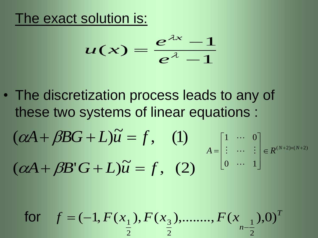### The exact solution is:

$$
u(x) = \frac{e^{\lambda x} - 1}{e^{\lambda} - 1}
$$

• The discretization process leads to any of these two systems of linear equations :

$$
(\alpha A + \beta BG + L)\widetilde{u} = f, \quad (1)
$$
  

$$
A = \begin{bmatrix} 1 & \cdots & 0 \\ \vdots & \cdots & \vdots \\ 0 & \cdots & 1 \end{bmatrix} \in R^{(N+2)\times(N+2)}
$$
  

$$
(\alpha A + \beta B'G + L)\widetilde{u} = f, \quad (2)
$$

for 
$$
f = (-1, F(x_1), F(x_3), \dots, F(x_{n-1}, 0))^T
$$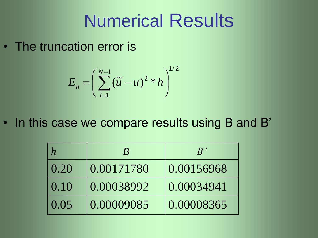# Numerical Results

• The truncation error is

$$
E_h = \left(\sum_{i=1}^{N-1} (\tilde{u} - u)^2 * h\right)^{1/2}
$$

• In this case we compare results using B and B'

|                   |            | $R^{\,\prime}$ |
|-------------------|------------|----------------|
| 0.20              | 0.00171780 | 0.00156968     |
| 0.10              | 0.00038992 | 0.00034941     |
| $\overline{0.05}$ | 0.00009085 | 0.00008365     |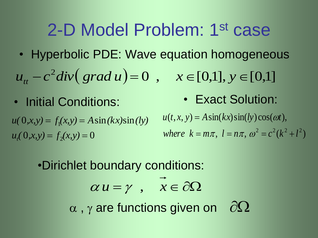### 2-D Model Problem: 1st case

• Hyperbolic PDE: Wave equation homogeneous

 $u_{tt} - c^2 \text{div}(\text{grad } u) = 0$ ,  $x \in [0,1], y \in [0,1]$ 

 $u_t(0, x, y) = f_2(x, y) = 0$  $u(0,x,y) = f_1(x,y) = A\sin(kx)\sin(ky)$ 

• Initial Conditions: • Exact Solution:

 $u(t, x, y) = A \sin(kx) \sin(ky) \cos(\omega t),$ 

 $where k = m\pi, l = n\pi, \omega^2 = c^2(k^2 + l^2)$ 

•Dirichlet boundary conditions:

 $\alpha u = \gamma$ ,  $\bar{x} \in \partial \Omega$ 

 $\alpha$ ,  $\gamma$  are functions given on  $\partial\Omega$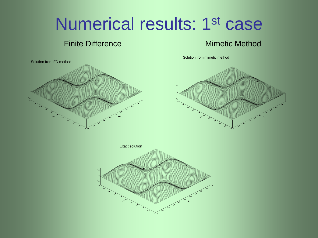## Numerical results: 1<sup>st</sup> case

### **Finite Difference Mimetic Method**

Solution from mimetic method

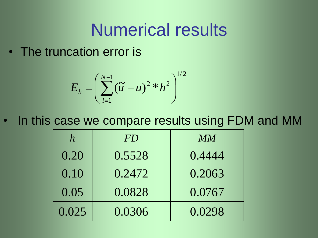### Numerical results

• The truncation error is

$$
E_h = \left(\sum_{i=1}^{N-1} (\tilde{u} - u)^2 * h^2\right)^{1/2}
$$

In this case we compare results using FDM and MM

| $\boldsymbol{h}$ | FD     | MM     |
|------------------|--------|--------|
| 0.20             | 0.5528 | 0.4444 |
| 0.10             | 0.2472 | 0.2063 |
| 0.05             | 0.0828 | 0.0767 |
| 0.025            | 0.0306 | 0.0298 |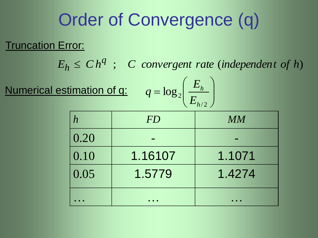# Order of Convergence (q)

### Truncation Error:

 $E_h \leq C h^q$ ; *C convergent rate* (*independent of h*)  $h \leq$ 

Numerical estimation of q:

$$
q = \log_2\left(\frac{E_h}{E_{h/2}}\right)
$$

|      | FD      | MM     |
|------|---------|--------|
| 0.20 |         |        |
| 0.10 | 1.16107 | 1.1071 |
| 0.05 | 1.5779  | 1.4274 |
|      |         |        |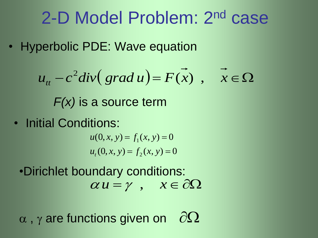### 2-D Model Problem: 2nd case

• Hyperbolic PDE: Wave equation

$$
u_{tt} - c^2 \,div \big(\operatorname{grad} u\big) = F(x) , \quad \vec{x} \in \Omega
$$

*F(x)* is a source term

• Initial Conditions:

 $u_t(0, x, y) = f_2(x, y) = 0$  $u(0, x, y) = f_1(x, y) = 0$ 

 $\alpha u = \gamma$ ,  $x \in \partial \Omega$ •Dirichlet boundary conditions:

 $\alpha$ ,  $\gamma$  are functions given on  $\partial\Omega$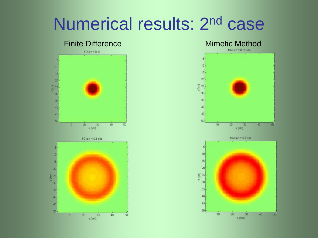# Numerical results: 2nd case



### 5  $10<sub>2</sub>$  $15<sub>1</sub>$ 20)





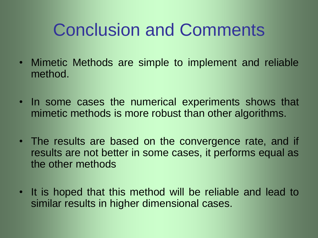# Conclusion and Comments

- Mimetic Methods are simple to implement and reliable method.
- In some cases the numerical experiments shows that mimetic methods is more robust than other algorithms.
- The results are based on the convergence rate, and if results are not better in some cases, it performs equal as the other methods
- It is hoped that this method will be reliable and lead to similar results in higher dimensional cases.